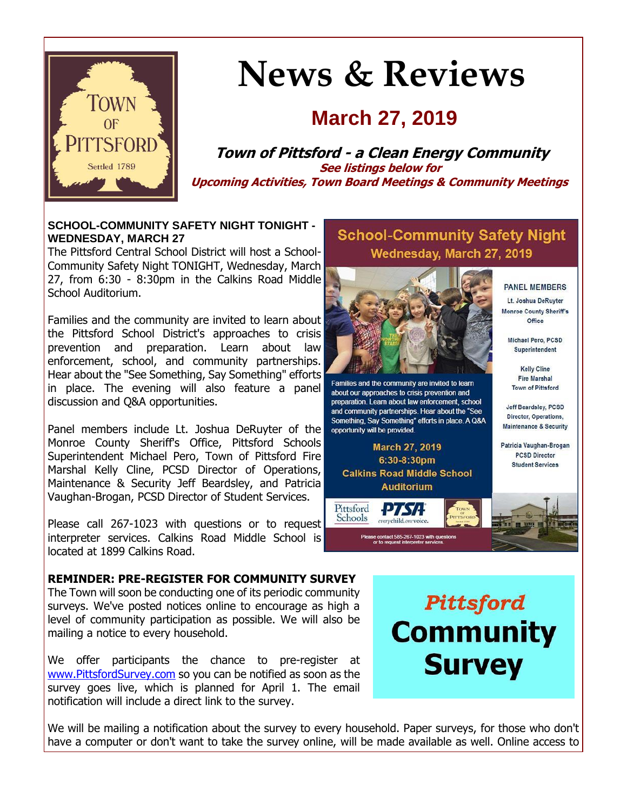

# **News & Reviews**

## **March 27, 2019**

**Town of Pittsford - a Clean Energy Community See listings below for Upcoming Activities, Town Board Meetings & Community Meetings**

#### **SCHOOL-COMMUNITY SAFETY NIGHT TONIGHT - WEDNESDAY, MARCH 27**

The Pittsford Central School District will host a School-Community Safety Night TONIGHT, Wednesday, March 27, from 6:30 - 8:30pm in the Calkins Road Middle School Auditorium.

Families and the community are invited to learn about the Pittsford School District's approaches to crisis prevention and preparation. Learn about law enforcement, school, and community partnerships. Hear about the "See Something, Say Something" efforts in place. The evening will also feature a panel discussion and Q&A opportunities.

Panel members include Lt. Joshua DeRuyter of the Monroe County Sheriff's Office, Pittsford Schools Superintendent Michael Pero, Town of Pittsford Fire Marshal Kelly Cline, PCSD Director of Operations, Maintenance & Security Jeff Beardsley, and Patricia Vaughan-Brogan, PCSD Director of Student Services.

Please call 267-1023 with questions or to request interpreter services. Calkins Road Middle School is located at 1899 Calkins Road.

### **School-Community Safety Night** Wednesday, March 27, 2019



Families and the community are invited to learn about our approaches to crisis prevention and preparation. Learn about law enforcement, school and community partnerships. Hear about the "See Something, Say Something" efforts in place. A Q&A opportunity will be provided.

March 27, 2019 6:30-8:30pm **Calkins Road Middle School Auditorium** 

PTSA

everychild.onevoice.

e contact 585-267-1023 with qu<br>or to request interpreter service

Pittsford

Schools



**PANEL MEMBERS** Lt. Joshua DeRuyter Monroe County Sheriff's Office

Jeff Beardsley, PCSD Director, Operations, **Maintenance & Security** 

Patricia Vaughan-Brogan **PCSD Director Student Services** 

Var m w

**REMINDER: PRE-REGISTER FOR COMMUNITY SURVEY**

The Town will soon be conducting one of its periodic community surveys. We've posted notices online to encourage as high a level of community participation as possible. We will also be mailing a notice to every household.

We offer participants the chance to pre-register at [www.PittsfordSurvey.com](http://r20.rs6.net/tn.jsp?f=001IW5M0hWal3kHTWIbS0S_X6hF2jpJuYg030HokX9NzPmrNY20QJaJwST44gjZ_kAJMhuA7H5cXoBXnmaTE0ruEBorThAdpkMvWbQ5TdxoPwukuVwJI5RWTTqIPDKKSCW0dQOi03pRUJwHagGx6ON42zyReEbGMsHWPcp6RtHk0qyAqi0Wk9yCI0ZfVP-BlidILjeL877UzP9bpOO6GDTaflX44Av60qWUvqc1BYptpCvPlJYvyqMETWKL78hn0OBMp7v9Y_0LNiqkInp99cc60Y7ue2f5IisDqHNsM34BHYU=&c=4wvnHfP2IBVFOrxvXjmccAtKTVN8uC7ayqpXTjOpEh0p1RsPnLumnw==&ch=MvSrLJ03k0GvceGOYu1c6L1RrfAotrvcV4oLxCwIm7o7BahzFLPiTQ==) so you can be notified as soon as the survey goes live, which is planned for April 1. The email notification will include a direct link to the survey.

Pittsford **Community Survey** 

We will be mailing a notification about the survey to every household. Paper surveys, for those who don't have a computer or don't want to take the survey online, will be made available as well. Online access to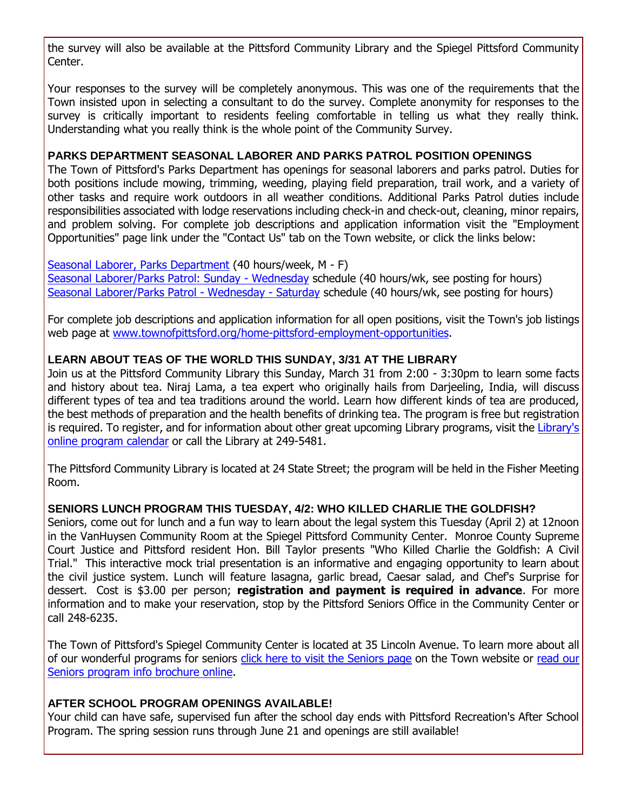the survey will also be available at the Pittsford Community Library and the Spiegel Pittsford Community Center.

Your responses to the survey will be completely anonymous. This was one of the requirements that the Town insisted upon in selecting a consultant to do the survey. Complete anonymity for responses to the survey is critically important to residents feeling comfortable in telling us what they really think. Understanding what you really think is the whole point of the Community Survey.

#### **PARKS DEPARTMENT SEASONAL LABORER AND PARKS PATROL POSITION OPENINGS**

The Town of Pittsford's Parks Department has openings for seasonal laborers and parks patrol. Duties for both positions include mowing, trimming, weeding, playing field preparation, trail work, and a variety of other tasks and require work outdoors in all weather conditions. Additional Parks Patrol duties include responsibilities associated with lodge reservations including check-in and check-out, cleaning, minor repairs, and problem solving. For complete job descriptions and application information visit the "Employment Opportunities" page link under the "Contact Us" tab on the Town website, or click the links below:

[Seasonal Laborer, Parks Department](http://r20.rs6.net/tn.jsp?f=001IW5M0hWal3kHTWIbS0S_X6hF2jpJuYg030HokX9NzPmrNY20QJaJwST44gjZ_kAJ4ggDFM87zZbqto3AsKQky_7rEBTXwLKvHdY2kJRAbm0fdtAPluEqPZPos5cwcXxorK78z6gQFie_GpUFZ9_6tKj7mSXVka1J-S5WbYAAwv3b4pMQh16WAehEVSxIDSL2_oRsWpQqZi0UuN_Q5sXGlr_uHHpivXJdNQul8vlMRuzqaZdtcn7nbM8RsY_CRCvA-tjB-ArRAzxkSmdOpnp18VywE9d8o1goVthAYESmF74CIQAAowont4LFDgoBzLf9CZZraWs5Z8622XkORzB8V9iSVyN4cEwRxWxQhCnvWcesaBthbFbMvCTebAPCFYxa3ZsiGCIdBgE=&c=4wvnHfP2IBVFOrxvXjmccAtKTVN8uC7ayqpXTjOpEh0p1RsPnLumnw==&ch=MvSrLJ03k0GvceGOYu1c6L1RrfAotrvcV4oLxCwIm7o7BahzFLPiTQ==) (40 hours/week, M - F) [Seasonal Laborer/Parks Patrol: Sunday -](http://r20.rs6.net/tn.jsp?f=001IW5M0hWal3kHTWIbS0S_X6hF2jpJuYg030HokX9NzPmrNY20QJaJwST44gjZ_kAJV_5qaiGeISGVXQn3JKOMVuT9skkTgDGjCaExEmBHABlFxudBMAuB63JCwEfNQxXyfVVkwk-XrdN7zv4lm3Cbc3GJHUDTvFlFUWpedf976sHzjxcNb-nvJRR0m8LgRTEcVcA6hjBrvTfmjRwtlbe6dnRWSJpnWyutwe1F7jdmbqZP4RGSHoS5m6giuJeuo-4oAHoZcyN-0GqSc6rR3ohKqVVWtxg5FUsKV0IcYTmPdqmXozNPDo4jIMgMrY56DR8nlGn2eEAZ-nqyyTry1H5XpzQUQNFhrB44hvfpNeP11ccfNykJ55xP193IzWZvCRfTKhVG4KJUBL4=&c=4wvnHfP2IBVFOrxvXjmccAtKTVN8uC7ayqpXTjOpEh0p1RsPnLumnw==&ch=MvSrLJ03k0GvceGOYu1c6L1RrfAotrvcV4oLxCwIm7o7BahzFLPiTQ==) Wednesday schedule (40 hours/wk, see posting for hours) [Seasonal Laborer/Parks Patrol -](http://r20.rs6.net/tn.jsp?f=001IW5M0hWal3kHTWIbS0S_X6hF2jpJuYg030HokX9NzPmrNY20QJaJwST44gjZ_kAJB46Fyf_HhC5XYYGRQc7f0yjev_eLbZdIS1whHAzvrku_UfWaF-RmZm6DJzlHDPVPh3Z6G7QqLXeokcGGCmBH-FylNXK1Bp1e7TZhUraE9uvKRh0TAKshD8IB7NlVAgahYuaYq_xUkhk4NqcIjRlh4lqklPRoRBatpEcU-9yXzFShZ8tbLW-X3ysdU2_1RgwkDHC2FlDrgXqPYkoJVtFI1yrtSunhLU3CKTBQRVb62gPW_meEz2x72_2loP_v5FA0GNg95tJFyJ5Dpd8c21-a9VGq76lU4rky9DKbo-oYLpG37s_Xo50jkCq86gTl9_XFSLLmQxN8GQ8=&c=4wvnHfP2IBVFOrxvXjmccAtKTVN8uC7ayqpXTjOpEh0p1RsPnLumnw==&ch=MvSrLJ03k0GvceGOYu1c6L1RrfAotrvcV4oLxCwIm7o7BahzFLPiTQ==) Wednesday - Saturday schedule (40 hours/wk, see posting for hours)

For complete job descriptions and application information for all open positions, visit the Town's job listings web page at [www.townofpittsford.org/home-pittsford-employment-opportunities.](http://r20.rs6.net/tn.jsp?f=001IW5M0hWal3kHTWIbS0S_X6hF2jpJuYg030HokX9NzPmrNY20QJaJwWnF3zSfibE3wDyXL4Kt4hdsM4a9_Pt-yeVlYoVuye7cbwViBTsMZ76Jlltd1YyTKCtn3sDexqZlf_DC5ah-Uv184H1_u-1npehHB4cTbOR2fqZPKjJeBYwiCJZ1S8rEcVwUXvhO1LqDfzJo5WpTHk9BYuH8OZO3EcZQqt2yWkJaFZyCiQ3YxtrFRqedyThGSkVWDLWFKDFkt3g9HQCGQGTwWXHHycYKw3JYCA4UnUg_glSVQReyjkCE7D4I5NY6G_qfBSq3E8nnOIBtEU47ilg-YwYrtRRiHhJ81Ryt8Qyy&c=4wvnHfP2IBVFOrxvXjmccAtKTVN8uC7ayqpXTjOpEh0p1RsPnLumnw==&ch=MvSrLJ03k0GvceGOYu1c6L1RrfAotrvcV4oLxCwIm7o7BahzFLPiTQ==)

#### **LEARN ABOUT TEAS OF THE WORLD THIS SUNDAY, 3/31 AT THE LIBRARY**

Join us at the Pittsford Community Library this Sunday, March 31 from 2:00 - 3:30pm to learn some facts and history about tea. Niraj Lama, a tea expert who originally hails from Darjeeling, India, will discuss different types of tea and tea traditions around the world. Learn how different kinds of tea are produced, the best methods of preparation and the health benefits of drinking tea. The program is free but registration is required. To register, and for information about other great upcoming Library programs, visit the Library's [online program calendar](http://r20.rs6.net/tn.jsp?f=001IW5M0hWal3kHTWIbS0S_X6hF2jpJuYg030HokX9NzPmrNY20QJaJwSMmfiBjHRFOSPwoMubnfOLAt-ofyVK16hRFANXwOkk3hXgDhxPWvXFdpJieMV7amnqRi20gp7osXXoXx2M7IiHRlRJc1D6IybD5PMfZ1tpWluP7o8SRbEepddmwv2WmLnhJbHZmz-5_rGJpJ6tlkv6VfMwzTY74ZsXd25iZ_OfkxqXjEhh5inr8rP4-QYq6LQlTtCIWQOCeZb4ZtOSJD7P60NqjMTOn8mQTbS4D4rN6L6AU3iFEWhQ8B0djotzk6v6Ti7WFCuc2bgxO-3L9_HGXCgOG7ZPXIWlIacSv8ab1VJRYTsYbq9eBPEOOfvgjbdBMmtVT5bDAvV8RcVgb0_TQjdObAKj-6bBa_Ps2Ub2f&c=4wvnHfP2IBVFOrxvXjmccAtKTVN8uC7ayqpXTjOpEh0p1RsPnLumnw==&ch=MvSrLJ03k0GvceGOYu1c6L1RrfAotrvcV4oLxCwIm7o7BahzFLPiTQ==) or call the Library at 249-5481.

The Pittsford Community Library is located at 24 State Street; the program will be held in the Fisher Meeting Room.

#### **SENIORS LUNCH PROGRAM THIS TUESDAY, 4/2: WHO KILLED CHARLIE THE GOLDFISH?**

Seniors, come out for lunch and a fun way to learn about the legal system this Tuesday (April 2) at 12noon in the VanHuysen Community Room at the Spiegel Pittsford Community Center. Monroe County Supreme Court Justice and Pittsford resident Hon. Bill Taylor presents "Who Killed Charlie the Goldfish: A Civil Trial." This interactive mock trial presentation is an informative and engaging opportunity to learn about the civil justice system. Lunch will feature lasagna, garlic bread, Caesar salad, and Chef's Surprise for dessert. Cost is \$3.00 per person; **registration and payment is required in advance**. For more information and to make your reservation, stop by the Pittsford Seniors Office in the Community Center or call 248-6235.

The Town of Pittsford's Spiegel Community Center is located at 35 Lincoln Avenue. To learn more about all of our wonderful programs for seniors [click here to visit the Seniors page](http://r20.rs6.net/tn.jsp?f=001IW5M0hWal3kHTWIbS0S_X6hF2jpJuYg030HokX9NzPmrNY20QJaJwWE8UNFwAjuuMDGcXJQsASJDNtu06SOcZLi9WGpHM4tMGqXbUN47NArNsO3wHEQByQiJDMqdLyu5Ee25YTTcW2V9BKTkeRvjqpnGwXGE76CGJipi5ycj_F5sq0zgnd1SHotPCw2tgSYUjGLzG-Ecc4BEQoPs6juWrC3-SJidTnKXSU7yPurl9H_KhiSSRu4CfBaQFY_KejBRWvPeJl1o3p8W9BPvpUDS04dmK34J0SMbPUOimlt0mZ4xQz2YniWXnyzjzAvvK_NL&c=4wvnHfP2IBVFOrxvXjmccAtKTVN8uC7ayqpXTjOpEh0p1RsPnLumnw==&ch=MvSrLJ03k0GvceGOYu1c6L1RrfAotrvcV4oLxCwIm7o7BahzFLPiTQ==) on the Town website or read our [Seniors program info brochure online.](http://r20.rs6.net/tn.jsp?f=001IW5M0hWal3kHTWIbS0S_X6hF2jpJuYg030HokX9NzPmrNY20QJaJwU1tU5PtlJoFs2BQez1hWi4TKBYvWK0YMYANp1nbvnmt-Mp1OKC8F-xWAtwVa2WSNBNy68zT6QwVeff91P27N7Gar_7yjEvf7yOrvJeQkby3s-0avIOpx05g2jWF3QZqbRW_e-XExORqZZSMW1_fWd_3t93Gfs47_JcPRVqJHjVHg13K_UTTKDUBnj9_MGGUPYnMIurMFLR6r5U9q5s1A3TfY15NMqpXwlOsXQIMkC3s16dYm2nuokKuKGgopl-sTPPSrXtvFjL94E4CUI5-jKkTb-1aRMiN66Hr2w4SoxQSVJCQ-ltNaYzFZ3-ULt8BwQ==&c=4wvnHfP2IBVFOrxvXjmccAtKTVN8uC7ayqpXTjOpEh0p1RsPnLumnw==&ch=MvSrLJ03k0GvceGOYu1c6L1RrfAotrvcV4oLxCwIm7o7BahzFLPiTQ==)

#### **AFTER SCHOOL PROGRAM OPENINGS AVAILABLE!**

Your child can have safe, supervised fun after the school day ends with Pittsford Recreation's After School Program. The spring session runs through June 21 and openings are still available!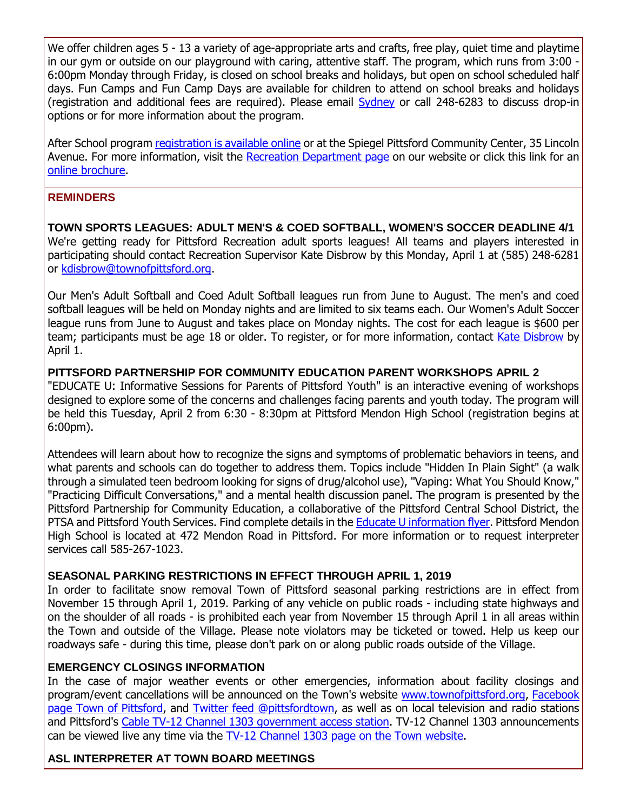We offer children ages 5 - 13 a variety of age-appropriate arts and crafts, free play, quiet time and playtime in our gym or outside on our playground with caring, attentive staff. The program, which runs from  $3:00<sup>-1</sup>$ 6:00pm Monday through Friday, is closed on school breaks and holidays, but open on school scheduled half days. Fun Camps and Fun Camp Days are available for children to attend on school breaks and holidays (registration and additional fees are required). Please email [Sydney](mailto:SMooney@townofpittsford.org?subject=After%20School%20program) or call 248-6283 to discuss drop-in options or for more information about the program.

After School program [registration is available online](http://r20.rs6.net/tn.jsp?f=001IW5M0hWal3kHTWIbS0S_X6hF2jpJuYg030HokX9NzPmrNY20QJaJwT8-GztRSvGEpgrGqXVloPenBavyMwVTtsk5n3q17OtCHw5FmK5AVbNhWBLzVZalJBB2oI33t6Vht1HpOwPb7vZpFQMYiMfDgCxoJOMiv1iEIz-QoDwoCVy12ofmOsQocBjpsFLcLCgnWYg0KE4a_RLgGq0y8AwxtaOKB3jzef8eyS59zKGmqOL7WT_GPk10fKsnvjk2huF5EBUfmOqEi9ifPEPcP5ISCXnK_kS2U4o47QOXKB-n6th6yTt8_uMu6DAamTxbpXycvMoyzDH_wKXWWkfYGyJ4a_1Ccf_77eEx&c=4wvnHfP2IBVFOrxvXjmccAtKTVN8uC7ayqpXTjOpEh0p1RsPnLumnw==&ch=MvSrLJ03k0GvceGOYu1c6L1RrfAotrvcV4oLxCwIm7o7BahzFLPiTQ==) or at the Spiegel Pittsford Community Center, 35 Lincoln Avenue. For more information, visit the [Recreation Department page](http://r20.rs6.net/tn.jsp?f=001IW5M0hWal3kHTWIbS0S_X6hF2jpJuYg030HokX9NzPmrNY20QJaJwRHt59LTRjX6DopF4ijejjP05bjmnmXSOov5L8GeLUZY91yjDeKIzQLjnHN5ghdB4iS6g2lfoV89xTmPh9hLYTCqQ1Xok3x12YMC5Irk6b1zvlbtJ7BXZqnkaOsv87fMlXc5HGdLn33BGm925sT-WvMsPx5dfBF81KfKGZRJAHuMVK8-W4_jDLGzG5TTCMqCHXzBlhPtBu7azNSrXGmL5SHfzU_N93WZPsQgum2VsxAJlJFWxHB0EvxYkiwn3WBLv86C_CCkXBcq&c=4wvnHfP2IBVFOrxvXjmccAtKTVN8uC7ayqpXTjOpEh0p1RsPnLumnw==&ch=MvSrLJ03k0GvceGOYu1c6L1RrfAotrvcV4oLxCwIm7o7BahzFLPiTQ==) on our website or click this link for an [online brochure.](http://r20.rs6.net/tn.jsp?f=001IW5M0hWal3kHTWIbS0S_X6hF2jpJuYg030HokX9NzPmrNY20QJaJwaYyBnakErUpWkYAMPVc3Zjh85mwgKTHbop1wH12_IFJQMY6WD_psyAfniglYciMZ1L72TzW59NQNVX8gcqTMLrow2AjIyuR25jVgsuPcL6X_IGA2N9cmgDy8yw6k7Shum1pwwZIe61-k_Szp5JTOtYvrte5PWPg8njyrBzffj25yR8L2BpB3hJsjTqjImo6VRrq7jFMfyAY7QdhbVbF6dVfhI-pRlHDnYStzTMQJnsGiJkffg1lXb8QNDg-4Ngrz8vblQK7Y5WJjGKXvNQhw2bMgtkpDOfqUg==&c=4wvnHfP2IBVFOrxvXjmccAtKTVN8uC7ayqpXTjOpEh0p1RsPnLumnw==&ch=MvSrLJ03k0GvceGOYu1c6L1RrfAotrvcV4oLxCwIm7o7BahzFLPiTQ==)

#### **REMINDERS**

**TOWN SPORTS LEAGUES: ADULT MEN'S & COED SOFTBALL, WOMEN'S SOCCER DEADLINE 4/1** We're getting ready for Pittsford Recreation adult sports leagues! All teams and players interested in participating should contact Recreation Supervisor Kate Disbrow by this Monday, April 1 at (585) 248-6281 or [kdisbrow@townofpittsford.org.](mailto:kdisbrow@townofpittsford.org?subject=Adult%20Sports%20Leagues)

Our Men's Adult Softball and Coed Adult Softball leagues run from June to August. The men's and coed softball leagues will be held on Monday nights and are limited to six teams each. Our Women's Adult Soccer league runs from June to August and takes place on Monday nights. The cost for each league is \$600 per team; participants must be age 18 or older. To register, or for more information, contact [Kate Disbrow](mailto:kdisbrow@townofpittsford.org?subject=Adult%20Sports%20Leagues) by April 1.

**PITTSFORD PARTNERSHIP FOR COMMUNITY EDUCATION PARENT WORKSHOPS APRIL 2** "EDUCATE U: Informative Sessions for Parents of Pittsford Youth" is an interactive evening of workshops designed to explore some of the concerns and challenges facing parents and youth today. The program will be held this Tuesday, April 2 from 6:30 - 8:30pm at Pittsford Mendon High School (registration begins at 6:00pm).

Attendees will learn about how to recognize the signs and symptoms of problematic behaviors in teens, and what parents and schools can do together to address them. Topics include "Hidden In Plain Sight" (a walk through a simulated teen bedroom looking for signs of drug/alcohol use), "Vaping: What You Should Know," "Practicing Difficult Conversations," and a mental health discussion panel. The program is presented by the Pittsford Partnership for Community Education, a collaborative of the Pittsford Central School District, the PTSA and Pittsford Youth Services. Find complete details in the **Educate U information flyer**. Pittsford Mendon High School is located at 472 Mendon Road in Pittsford. For more information or to request interpreter services call 585-267-1023.

#### **SEASONAL PARKING RESTRICTIONS IN EFFECT THROUGH APRIL 1, 2019**

In order to facilitate snow removal Town of Pittsford seasonal parking restrictions are in effect from November 15 through April 1, 2019. Parking of any vehicle on public roads - including state highways and on the shoulder of all roads - is prohibited each year from November 15 through April 1 in all areas within the Town and outside of the Village. Please note violators may be ticketed or towed. Help us keep our roadways safe - during this time, please don't park on or along public roads outside of the Village.

#### **EMERGENCY CLOSINGS INFORMATION**

In the case of major weather events or other emergencies, information about facility closings and program/event cancellations will be announced on the Town's website [www.townofpittsford.org,](http://townofpittsford.org/?utm_source=eNews+03-27-19&utm_campaign=eNews+03-27-19&utm_medium=email) [Facebook](https://www.facebook.com/pages/Town-of-Pittsford/139082619464200)  [page Town of Pittsford,](https://www.facebook.com/pages/Town-of-Pittsford/139082619464200) and [Twitter feed @pittsfordtown,](http://r20.rs6.net/tn.jsp?f=001IW5M0hWal3kHTWIbS0S_X6hF2jpJuYg030HokX9NzPmrNY20QJaJwXZK3BuEIyl5_SGZGar3SqxAcd1ZsmIHiFcxwY5IiqF-43I8GHbfjAppT425iNPuphHYxzQ1SlgLd1FV6NncNFYb-QTITYZFQS43QNIQtMKwun9nzqdwrGdmUwkX98KRJQ==&c=4wvnHfP2IBVFOrxvXjmccAtKTVN8uC7ayqpXTjOpEh0p1RsPnLumnw==&ch=MvSrLJ03k0GvceGOYu1c6L1RrfAotrvcV4oLxCwIm7o7BahzFLPiTQ==) as well as on local television and radio stations and Pittsford's [Cable TV-12 Channel 1303 government access station.](http://townofpittsford.org/home-channel12?utm_source=eNews+03-27-19&utm_campaign=eNews+03-27-19&utm_medium=email) TV-12 Channel 1303 announcements can be viewed live any time via the [TV-12 Channel 1303 page on the Town website.](http://townofpittsford.org/home-channel12?utm_source=eNews+03-27-19&utm_campaign=eNews+03-27-19&utm_medium=email)

#### **ASL INTERPRETER AT TOWN BOARD MEETINGS**